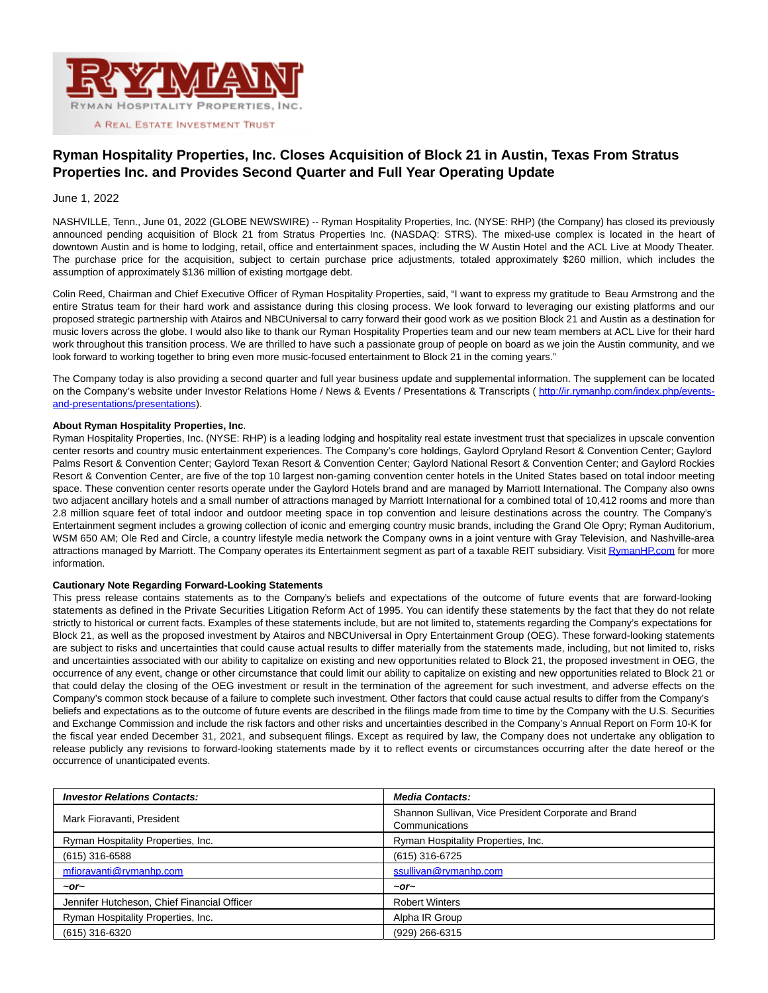

## **Ryman Hospitality Properties, Inc. Closes Acquisition of Block 21 in Austin, Texas From Stratus Properties Inc. and Provides Second Quarter and Full Year Operating Update**

## June 1, 2022

NASHVILLE, Tenn., June 01, 2022 (GLOBE NEWSWIRE) -- Ryman Hospitality Properties, Inc. (NYSE: RHP) (the Company) has closed its previously announced pending acquisition of Block 21 from Stratus Properties Inc. (NASDAQ: STRS). The mixed-use complex is located in the heart of downtown Austin and is home to lodging, retail, office and entertainment spaces, including the W Austin Hotel and the ACL Live at Moody Theater. The purchase price for the acquisition, subject to certain purchase price adjustments, totaled approximately \$260 million, which includes the assumption of approximately \$136 million of existing mortgage debt.

Colin Reed, Chairman and Chief Executive Officer of Ryman Hospitality Properties, said, "I want to express my gratitude to Beau Armstrong and the entire Stratus team for their hard work and assistance during this closing process. We look forward to leveraging our existing platforms and our proposed strategic partnership with Atairos and NBCUniversal to carry forward their good work as we position Block 21 and Austin as a destination for music lovers across the globe. I would also like to thank our Ryman Hospitality Properties team and our new team members at ACL Live for their hard work throughout this transition process. We are thrilled to have such a passionate group of people on board as we join the Austin community, and we look forward to working together to bring even more music-focused entertainment to Block 21 in the coming years."

The Company today is also providing a second quarter and full year business update and supplemental information. The supplement can be located on the Company's website under Investor Relations Home / News & Events / Presentations & Transcripts ([http://ir.rymanhp.com/index.php/events](https://www.globenewswire.com/Tracker?data=Q5gfN4Wc9IKFf9SHFLS9hUqcRlSUEC7fW4Q9RaHIXw61CpMjxAlbPjjNVsqKpJvhvNexokUeHh3ntFh8oU93JmQF06bsRVNmm3pZU8Mldn7HlLxzPXyZjsrkBxDGrPJz1MbOARuDUR-_d7aNbV5ZyyK5_vGbHh-PQ03fviKFCWGHC1vioQSz8oaMSedtQCEq3YAjFVB7kfVGCjjeBNsuicyxnKce5JJtBdNE1My6UVo=)and-presentations/presentations).

## **About Ryman Hospitality Properties, Inc**.

Ryman Hospitality Properties, Inc. (NYSE: RHP) is a leading lodging and hospitality real estate investment trust that specializes in upscale convention center resorts and country music entertainment experiences. The Company's core holdings, Gaylord Opryland Resort & Convention Center; Gaylord Palms Resort & Convention Center; Gaylord Texan Resort & Convention Center; Gaylord National Resort & Convention Center; and Gaylord Rockies Resort & Convention Center, are five of the top 10 largest non-gaming convention center hotels in the United States based on total indoor meeting space. These convention center resorts operate under the Gaylord Hotels brand and are managed by Marriott International. The Company also owns two adjacent ancillary hotels and a small number of attractions managed by Marriott International for a combined total of 10,412 rooms and more than 2.8 million square feet of total indoor and outdoor meeting space in top convention and leisure destinations across the country. The Company's Entertainment segment includes a growing collection of iconic and emerging country music brands, including the Grand Ole Opry; Ryman Auditorium, WSM 650 AM; Ole Red and Circle, a country lifestyle media network the Company owns in a joint venture with Gray Television, and Nashville-area attractions managed by Marriott. The Company operates its Entertainment segment as part of a taxable REIT subsidiary. Visi[t RymanHP.com f](https://www.globenewswire.com/Tracker?data=hZNLApFsWaJqlukFnXkNCFMj1LODEwFNhq_zKFh2mb1Vdv_Cp2n1KDJbac8SW_bnkv0nGl9Tz8ZltWNnWse_4Q==)or more information.

## **Cautionary Note Regarding Forward-Looking Statements**

This press release contains statements as to the Company's beliefs and expectations of the outcome of future events that are forward-looking statements as defined in the Private Securities Litigation Reform Act of 1995. You can identify these statements by the fact that they do not relate strictly to historical or current facts. Examples of these statements include, but are not limited to, statements regarding the Company's expectations for Block 21, as well as the proposed investment by Atairos and NBCUniversal in Opry Entertainment Group (OEG). These forward-looking statements are subject to risks and uncertainties that could cause actual results to differ materially from the statements made, including, but not limited to, risks and uncertainties associated with our ability to capitalize on existing and new opportunities related to Block 21, the proposed investment in OEG, the occurrence of any event, change or other circumstance that could limit our ability to capitalize on existing and new opportunities related to Block 21 or that could delay the closing of the OEG investment or result in the termination of the agreement for such investment, and adverse effects on the Company's common stock because of a failure to complete such investment. Other factors that could cause actual results to differ from the Company's beliefs and expectations as to the outcome of future events are described in the filings made from time to time by the Company with the U.S. Securities and Exchange Commission and include the risk factors and other risks and uncertainties described in the Company's Annual Report on Form 10-K for the fiscal year ended December 31, 2021, and subsequent filings. Except as required by law, the Company does not undertake any obligation to release publicly any revisions to forward-looking statements made by it to reflect events or circumstances occurring after the date hereof or the occurrence of unanticipated events.

| <b>Investor Relations Contacts:</b>         | <b>Media Contacts:</b>                                                 |
|---------------------------------------------|------------------------------------------------------------------------|
| Mark Fioravanti, President                  | Shannon Sullivan, Vice President Corporate and Brand<br>Communications |
| Ryman Hospitality Properties, Inc.          | Ryman Hospitality Properties, Inc.                                     |
| (615) 316-6588                              | (615) 316-6725                                                         |
| mfioravanti@rvmanhp.com                     | ssullivan@rvmanhp.com                                                  |
| $-$ or $-$                                  | $\sim$ or $\sim$                                                       |
| Jennifer Hutcheson, Chief Financial Officer | <b>Robert Winters</b>                                                  |
| Ryman Hospitality Properties, Inc.          | Alpha IR Group                                                         |
| (615) 316-6320                              | (929) 266-6315                                                         |